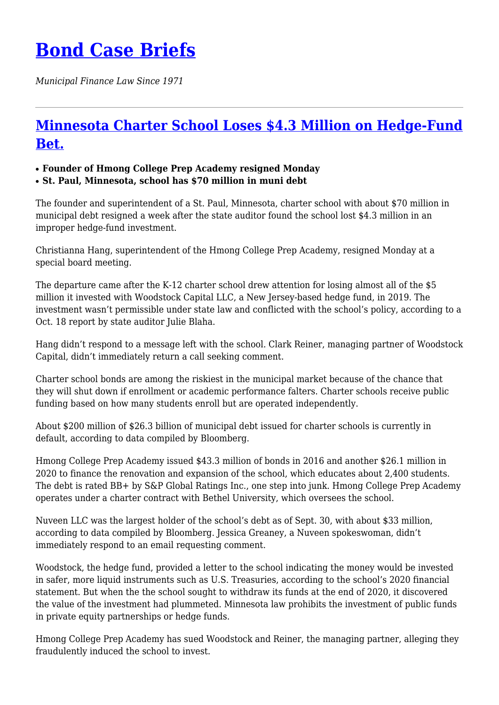## **[Bond Case Briefs](https://bondcasebriefs.com)**

*Municipal Finance Law Since 1971*

## **[Minnesota Charter School Loses \\$4.3 Million on Hedge-Fund](https://bondcasebriefs.com/2021/11/02/news/minnesota-charter-school-loses-4-3-million-on-hedge-fund-bet/) [Bet.](https://bondcasebriefs.com/2021/11/02/news/minnesota-charter-school-loses-4-3-million-on-hedge-fund-bet/)**

## ● **Founder of Hmong College Prep Academy resigned Monday**

● **St. Paul, Minnesota, school has \$70 million in muni debt**

The founder and superintendent of a St. Paul, Minnesota, charter school with about \$70 million in municipal debt resigned a week after the state auditor found the school lost \$4.3 million in an improper hedge-fund investment.

Christianna Hang, superintendent of the Hmong College Prep Academy, resigned Monday at a special board meeting.

The departure came after the K-12 charter school drew attention for losing almost all of the \$5 million it invested with Woodstock Capital LLC, a New Jersey-based hedge fund, in 2019. The investment wasn't permissible under state law and conflicted with the school's policy, according to a Oct. 18 report by state auditor Julie Blaha.

Hang didn't respond to a message left with the school. Clark Reiner, managing partner of Woodstock Capital, didn't immediately return a call seeking comment.

Charter school bonds are among the riskiest in the municipal market because of the chance that they will shut down if enrollment or academic performance falters. Charter schools receive public funding based on how many students enroll but are operated independently.

About \$200 million of \$26.3 billion of municipal debt issued for charter schools is currently in default, according to data compiled by Bloomberg.

Hmong College Prep Academy issued \$43.3 million of bonds in 2016 and another \$26.1 million in 2020 to finance the renovation and expansion of the school, which educates about 2,400 students. The debt is rated BB+ by S&P Global Ratings Inc., one step into junk. Hmong College Prep Academy operates under a charter contract with Bethel University, which oversees the school.

Nuveen LLC was the largest holder of the school's debt as of Sept. 30, with about \$33 million, according to data compiled by Bloomberg. Jessica Greaney, a Nuveen spokeswoman, didn't immediately respond to an email requesting comment.

Woodstock, the hedge fund, provided a letter to the school indicating the money would be invested in safer, more liquid instruments such as U.S. Treasuries, according to the school's 2020 financial statement. But when the the school sought to withdraw its funds at the end of 2020, it discovered the value of the investment had plummeted. Minnesota law prohibits the investment of public funds in private equity partnerships or hedge funds.

Hmong College Prep Academy has sued Woodstock and Reiner, the managing partner, alleging they fraudulently induced the school to invest.